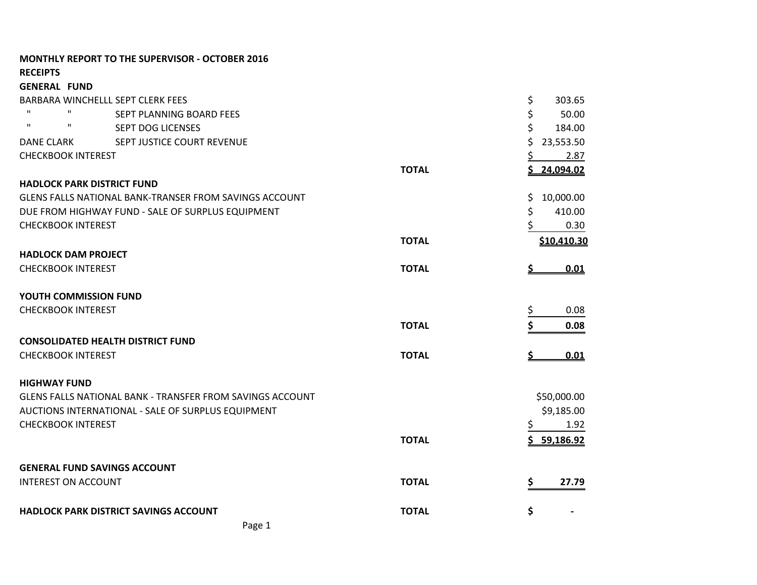| <b>MONTHLY REPORT TO THE SUPERVISOR - OCTOBER 2016</b>    |              |                 |
|-----------------------------------------------------------|--------------|-----------------|
| <b>RECEIPTS</b>                                           |              |                 |
| <b>GENERAL FUND</b>                                       |              |                 |
| BARBARA WINCHELLL SEPT CLERK FEES                         |              | \$<br>303.65    |
| $\mathbf{H}$<br>SEPT PLANNING BOARD FEES                  |              | \$<br>50.00     |
| $\mathbf{H}$<br>п<br><b>SEPT DOG LICENSES</b>             |              | \$<br>184.00    |
| SEPT JUSTICE COURT REVENUE<br>DANE CLARK                  |              | Ś.<br>23,553.50 |
| <b>CHECKBOOK INTEREST</b>                                 |              | 2.87            |
|                                                           | <b>TOTAL</b> | 24,094.02       |
| <b>HADLOCK PARK DISTRICT FUND</b>                         |              |                 |
| GLENS FALLS NATIONAL BANK-TRANSER FROM SAVINGS ACCOUNT    |              | 10,000.00<br>S. |
| DUE FROM HIGHWAY FUND - SALE OF SURPLUS EQUIPMENT         |              | \$<br>410.00    |
| <b>CHECKBOOK INTEREST</b>                                 |              | 0.30            |
|                                                           | <b>TOTAL</b> | \$10,410.30     |
| <b>HADLOCK DAM PROJECT</b>                                |              |                 |
| <b>CHECKBOOK INTEREST</b>                                 | <b>TOTAL</b> | 0.01<br>Ş       |
| YOUTH COMMISSION FUND                                     |              |                 |
| <b>CHECKBOOK INTEREST</b>                                 |              | 0.08<br>\$      |
|                                                           | <b>TOTAL</b> | \$<br>0.08      |
| <b>CONSOLIDATED HEALTH DISTRICT FUND</b>                  |              |                 |
| <b>CHECKBOOK INTEREST</b>                                 | <b>TOTAL</b> | 0.01            |
| <b>HIGHWAY FUND</b>                                       |              |                 |
| GLENS FALLS NATIONAL BANK - TRANSFER FROM SAVINGS ACCOUNT |              | \$50,000.00     |
| AUCTIONS INTERNATIONAL - SALE OF SURPLUS EQUIPMENT        |              | \$9,185.00      |
| <b>CHECKBOOK INTEREST</b>                                 |              | \$<br>1.92      |
|                                                           | <b>TOTAL</b> | \$5, 59, 186.92 |
| <b>GENERAL FUND SAVINGS ACCOUNT</b>                       |              |                 |
| <b>INTEREST ON ACCOUNT</b>                                | <b>TOTAL</b> | \$<br>27.79     |
| HADLOCK PARK DISTRICT SAVINGS ACCOUNT                     | <b>TOTAL</b> | \$              |
| Page 1                                                    |              |                 |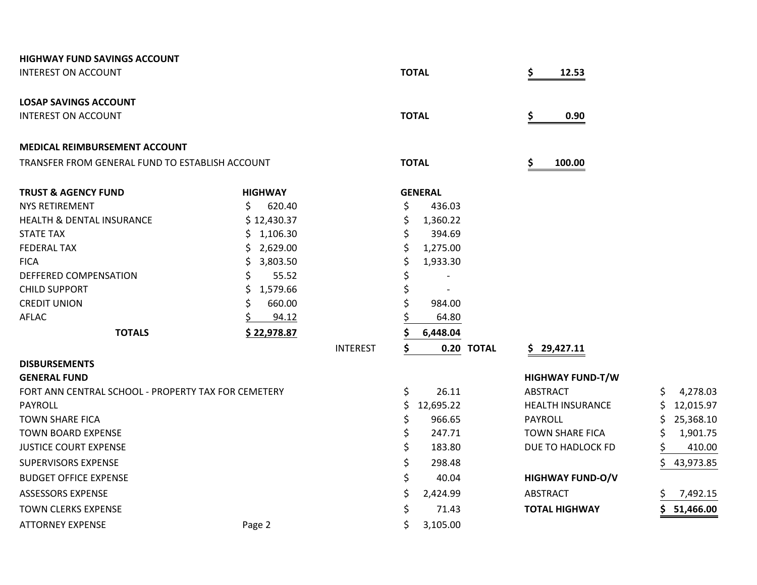| <b>HIGHWAY FUND SAVINGS ACCOUNT</b>                 |                |                 |              |                |            |                         |                 |
|-----------------------------------------------------|----------------|-----------------|--------------|----------------|------------|-------------------------|-----------------|
| <b>INTEREST ON ACCOUNT</b>                          |                |                 | <b>TOTAL</b> |                |            | 12.53                   |                 |
| <b>LOSAP SAVINGS ACCOUNT</b>                        |                |                 |              |                |            |                         |                 |
| <b>INTEREST ON ACCOUNT</b>                          |                |                 | <b>TOTAL</b> |                |            | 0.90<br>S               |                 |
| <b>MEDICAL REIMBURSEMENT ACCOUNT</b>                |                |                 |              |                |            |                         |                 |
| TRANSFER FROM GENERAL FUND TO ESTABLISH ACCOUNT     |                |                 | <b>TOTAL</b> |                |            | \$<br>100.00            |                 |
| <b>TRUST &amp; AGENCY FUND</b>                      | <b>HIGHWAY</b> |                 |              | <b>GENERAL</b> |            |                         |                 |
| NYS RETIREMENT                                      | Ŝ.<br>620.40   |                 | \$           | 436.03         |            |                         |                 |
| <b>HEALTH &amp; DENTAL INSURANCE</b>                | \$12,430.37    |                 | \$           | 1,360.22       |            |                         |                 |
| <b>STATE TAX</b>                                    | 1,106.30<br>S. |                 | Ś            | 394.69         |            |                         |                 |
| <b>FEDERAL TAX</b>                                  | 2,629.00       |                 |              | 1,275.00       |            |                         |                 |
| <b>FICA</b>                                         | S<br>3,803.50  |                 | S            | 1,933.30       |            |                         |                 |
| DEFFERED COMPENSATION                               | 55.52<br>Ś.    |                 |              |                |            |                         |                 |
| <b>CHILD SUPPORT</b>                                | 1,579.66       |                 |              |                |            |                         |                 |
| <b>CREDIT UNION</b>                                 | 660.00         |                 |              | 984.00         |            |                         |                 |
| <b>AFLAC</b>                                        | 94.12          |                 |              | 64.80          |            |                         |                 |
| <b>TOTALS</b>                                       | \$22,978.87    |                 |              | 6,448.04       |            |                         |                 |
|                                                     |                | <b>INTEREST</b> | \$           |                | 0.20 TOTAL | \$29,427.11             |                 |
| <b>DISBURSEMENTS</b>                                |                |                 |              |                |            |                         |                 |
| <b>GENERAL FUND</b>                                 |                |                 |              |                |            | <b>HIGHWAY FUND-T/W</b> |                 |
| FORT ANN CENTRAL SCHOOL - PROPERTY TAX FOR CEMETERY |                |                 | \$           | 26.11          |            | <b>ABSTRACT</b>         | \$<br>4,278.03  |
| <b>PAYROLL</b>                                      |                |                 | \$           | 12,695.22      |            | <b>HEALTH INSURANCE</b> | 12,015.97<br>S  |
| <b>TOWN SHARE FICA</b>                              |                |                 | \$           | 966.65         |            | <b>PAYROLL</b>          | 25,368.10       |
| <b>TOWN BOARD EXPENSE</b>                           |                |                 | \$           | 247.71         |            | <b>TOWN SHARE FICA</b>  | 1,901.75        |
| <b>JUSTICE COURT EXPENSE</b>                        |                |                 | \$           | 183.80         |            | DUE TO HADLOCK FD       | \$<br>410.00    |
| <b>SUPERVISORS EXPENSE</b>                          |                |                 | \$           | 298.48         |            |                         | 43,973.85<br>S  |
| <b>BUDGET OFFICE EXPENSE</b>                        |                |                 | \$           | 40.04          |            | <b>HIGHWAY FUND-O/V</b> |                 |
| ASSESSORS EXPENSE                                   |                |                 | \$           | 2,424.99       |            | <b>ABSTRACT</b>         | 7,492.15        |
| <b>TOWN CLERKS EXPENSE</b>                          |                |                 | \$           | 71.43          |            | <b>TOTAL HIGHWAY</b>    | 51,466.00<br>Ś. |
| <b>ATTORNEY EXPENSE</b>                             | Page 2         |                 | \$           | 3,105.00       |            |                         |                 |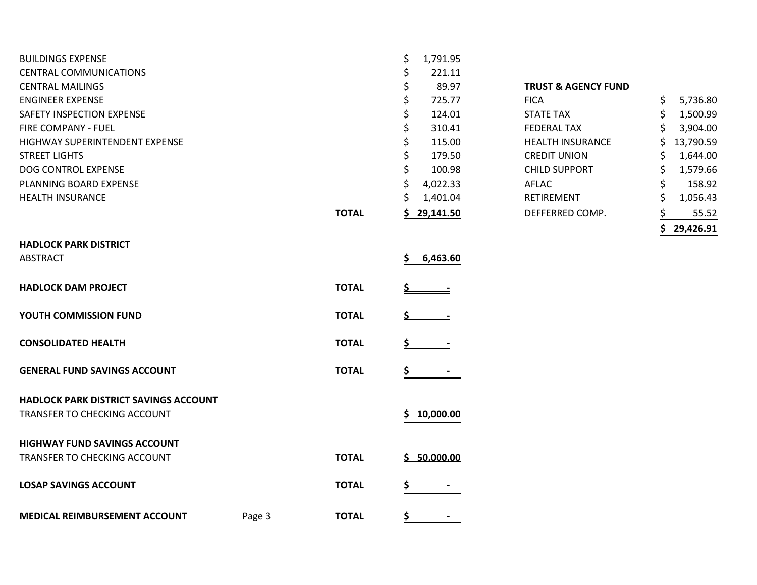| <b>BUILDINGS EXPENSE</b>                     |              | \$<br>1,791.95 |                                |                |
|----------------------------------------------|--------------|----------------|--------------------------------|----------------|
| <b>CENTRAL COMMUNICATIONS</b>                |              | \$<br>221.11   |                                |                |
| <b>CENTRAL MAILINGS</b>                      |              | \$<br>89.97    | <b>TRUST &amp; AGENCY FUND</b> |                |
| <b>ENGINEER EXPENSE</b>                      |              | \$<br>725.77   | <b>FICA</b>                    | \$<br>5,736.80 |
| SAFETY INSPECTION EXPENSE                    |              | \$<br>124.01   | <b>STATE TAX</b>               | 1,500.99       |
| <b>FIRE COMPANY - FUEL</b>                   |              | \$<br>310.41   | <b>FEDERAL TAX</b>             | 3,904.00<br>Ś  |
| <b>HIGHWAY SUPERINTENDENT EXPENSE</b>        |              | \$<br>115.00   | <b>HEALTH INSURANCE</b>        | 13,790.59      |
| <b>STREET LIGHTS</b>                         |              | 179.50<br>\$   | <b>CREDIT UNION</b>            | 1,644.00<br>S  |
| DOG CONTROL EXPENSE                          |              | 100.98<br>Ś    | <b>CHILD SUPPORT</b>           | 1,579.66<br>S  |
| PLANNING BOARD EXPENSE                       |              | 4,022.33       | <b>AFLAC</b>                   | \$<br>158.92   |
| <b>HEALTH INSURANCE</b>                      |              | 1,401.04       | RETIREMENT                     | 1,056.43<br>Ś  |
|                                              | <b>TOTAL</b> | \$29,141.50    | DEFFERRED COMP.                | 55.52          |
|                                              |              |                |                                | 29,426.91      |
| <b>HADLOCK PARK DISTRICT</b>                 |              |                |                                |                |
| ABSTRACT                                     |              | 6,463.60<br>S  |                                |                |
| <b>HADLOCK DAM PROJECT</b>                   | <b>TOTAL</b> |                |                                |                |
| YOUTH COMMISSION FUND                        | <b>TOTAL</b> |                |                                |                |
| <b>CONSOLIDATED HEALTH</b>                   | <b>TOTAL</b> |                |                                |                |
| <b>GENERAL FUND SAVINGS ACCOUNT</b>          | <b>TOTAL</b> |                |                                |                |
| <b>HADLOCK PARK DISTRICT SAVINGS ACCOUNT</b> |              |                |                                |                |

| TRANSFER TO CHECKING ACCOUNT                                               |        |              | 10,000.00                |
|----------------------------------------------------------------------------|--------|--------------|--------------------------|
| <b>HIGHWAY FUND SAVINGS ACCOUNT</b><br><b>TRANSFER TO CHECKING ACCOUNT</b> |        | <b>TOTAL</b> | <u>\$50,000.00</u>       |
| <b>LOSAP SAVINGS ACCOUNT</b>                                               |        | <b>TOTAL</b> | $\overline{\phantom{0}}$ |
| <b>MEDICAL REIMBURSEMENT ACCOUNT</b>                                       | Page 3 | <b>TOTAL</b> |                          |